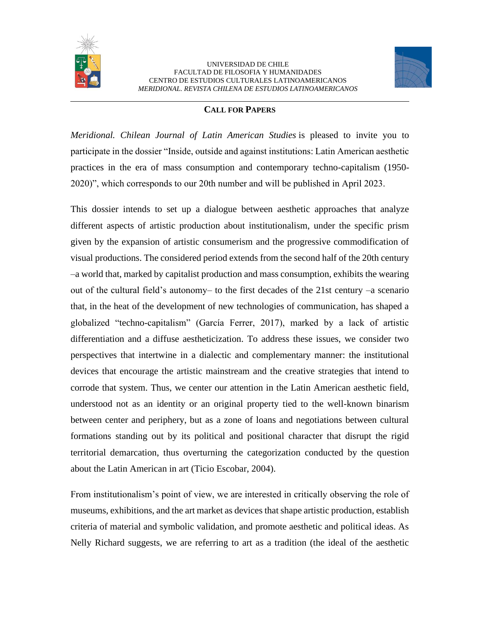



#### **CALL FOR PAPERS**

*Meridional. Chilean Journal of Latin American Studies* is pleased to invite you to participate in the dossier "Inside, outside and against institutions: Latin American aesthetic practices in the era of mass consumption and contemporary techno-capitalism (1950- 2020)", which corresponds to our 20th number and will be published in April 2023.

This dossier intends to set up a dialogue between aesthetic approaches that analyze different aspects of artistic production about institutionalism, under the specific prism given by the expansion of artistic consumerism and the progressive commodification of visual productions. The considered period extends from the second half of the 20th century –a world that, marked by capitalist production and mass consumption, exhibits the wearing out of the cultural field's autonomy– to the first decades of the 21st century –a scenario that, in the heat of the development of new technologies of communication, has shaped a globalized "techno-capitalism" (García Ferrer, 2017), marked by a lack of artistic differentiation and a diffuse aestheticization. To address these issues, we consider two perspectives that intertwine in a dialectic and complementary manner: the institutional devices that encourage the artistic mainstream and the creative strategies that intend to corrode that system. Thus, we center our attention in the Latin American aesthetic field, understood not as an identity or an original property tied to the well-known binarism between center and periphery, but as a zone of loans and negotiations between cultural formations standing out by its political and positional character that disrupt the rigid territorial demarcation, thus overturning the categorization conducted by the question about the Latin American in art (Ticio Escobar, 2004).

From institutionalism's point of view, we are interested in critically observing the role of museums, exhibitions, and the art market as devices that shape artistic production, establish criteria of material and symbolic validation, and promote aesthetic and political ideas. As Nelly Richard suggests, we are referring to art as a tradition (the ideal of the aesthetic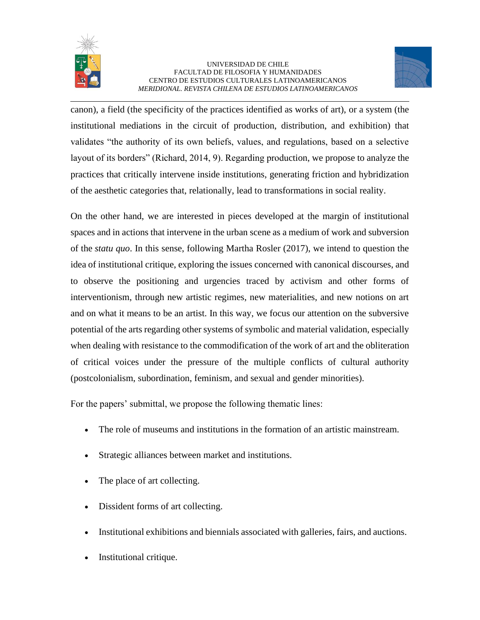



canon), a field (the specificity of the practices identified as works of art), or a system (the institutional mediations in the circuit of production, distribution, and exhibition) that validates "the authority of its own beliefs, values, and regulations, based on a selective layout of its borders" (Richard, 2014, 9). Regarding production, we propose to analyze the practices that critically intervene inside institutions, generating friction and hybridization of the aesthetic categories that, relationally, lead to transformations in social reality.

On the other hand, we are interested in pieces developed at the margin of institutional spaces and in actions that intervene in the urban scene as a medium of work and subversion of the *statu quo*. In this sense, following Martha Rosler (2017), we intend to question the idea of institutional critique, exploring the issues concerned with canonical discourses, and to observe the positioning and urgencies traced by activism and other forms of interventionism, through new artistic regimes, new materialities, and new notions on art and on what it means to be an artist. In this way, we focus our attention on the subversive potential of the arts regarding other systems of symbolic and material validation, especially when dealing with resistance to the commodification of the work of art and the obliteration of critical voices under the pressure of the multiple conflicts of cultural authority (postcolonialism, subordination, feminism, and sexual and gender minorities).

For the papers' submittal, we propose the following thematic lines:

- The role of museums and institutions in the formation of an artistic mainstream.
- Strategic alliances between market and institutions.
- The place of art collecting.
- Dissident forms of art collecting.
- Institutional exhibitions and biennials associated with galleries, fairs, and auctions.
- Institutional critique.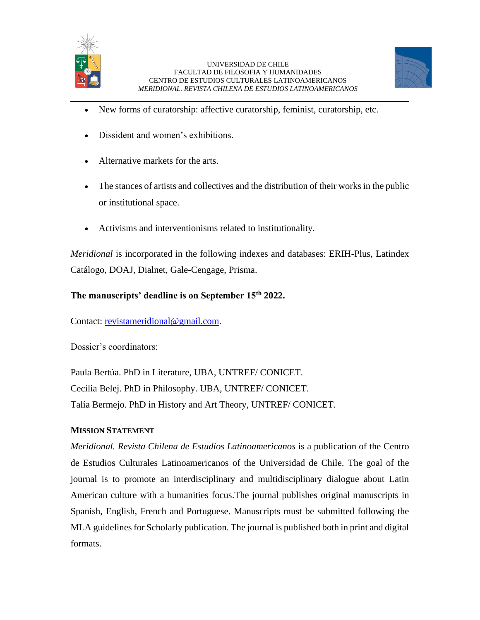



- New forms of curatorship: affective curatorship, feminist, curatorship, etc.
- Dissident and women's exhibitions.
- Alternative markets for the arts.
- The stances of artists and collectives and the distribution of their works in the public or institutional space.
- Activisms and interventionisms related to institutionality.

*Meridional* is incorporated in the following indexes and databases: ERIH-Plus, Latindex Catálogo, DOAJ, Dialnet, Gale-Cengage, Prisma.

# **The manuscripts' deadline is on September 15th 2022.**

Contact: [revistameridional@gmail.com.](mailto:revistameridional@gmail.com)

Dossier's coordinators:

Paula Bertúa. PhD in Literature, UBA, UNTREF/ CONICET. Cecilia Belej. PhD in Philosophy. UBA, UNTREF/ CONICET. Talía Bermejo. PhD in History and Art Theory, UNTREF/ CONICET.

## **MISSION STATEMENT**

*Meridional. Revista Chilena de Estudios Latinoamericanos* is a publication of the Centro de Estudios Culturales Latinoamericanos of the Universidad de Chile. The goal of the journal is to promote an interdisciplinary and multidisciplinary dialogue about Latin American culture with a humanities focus.The journal publishes original manuscripts in Spanish, English, French and Portuguese. Manuscripts must be submitted following the MLA guidelines for Scholarly publication. The journal is published both in print and digital formats.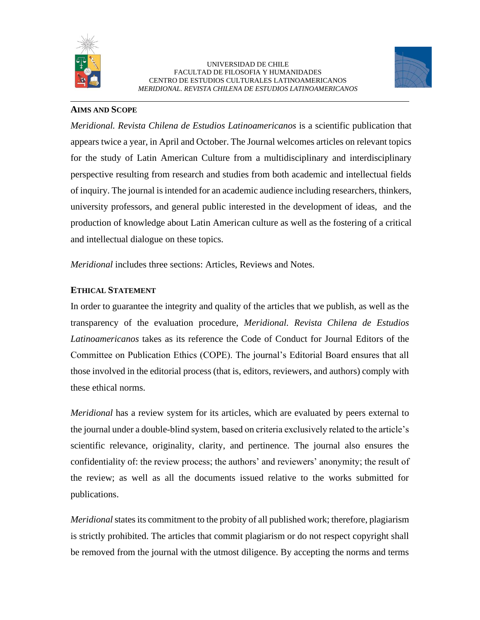



### **AIMS AND SCOPE**

*Meridional. Revista Chilena de Estudios Latinoamericanos* is a scientific publication that appears twice a year, in April and October. The Journal welcomes articles on relevant topics for the study of Latin American Culture from a multidisciplinary and interdisciplinary perspective resulting from research and studies from both academic and intellectual fields of inquiry. The journal is intended for an academic audience including researchers, thinkers, university professors, and general public interested in the development of ideas, and the production of knowledge about Latin American culture as well as the fostering of a critical and intellectual dialogue on these topics.

*Meridional* includes three sections: Articles, Reviews and Notes.

## **ETHICAL STATEMENT**

In order to guarantee the integrity and quality of the articles that we publish, as well as the transparency of the evaluation procedure, *Meridional. Revista Chilena de Estudios Latinoamericanos* takes as its reference the Code of Conduct for Journal Editors of the Committee on Publication Ethics (COPE). The journal's Editorial Board ensures that all those involved in the editorial process (that is, editors, reviewers, and authors) comply with these ethical norms.

*Meridional* has a review system for its articles, which are evaluated by peers external to the journal under a double-blind system, based on criteria exclusively related to the article's scientific relevance, originality, clarity, and pertinence. The journal also ensures the confidentiality of: the review process; the authors' and reviewers' anonymity; the result of the review; as well as all the documents issued relative to the works submitted for publications.

*Meridional* states its commitment to the probity of all published work; therefore, plagiarism is strictly prohibited. The articles that commit plagiarism or do not respect copyright shall be removed from the journal with the utmost diligence. By accepting the norms and terms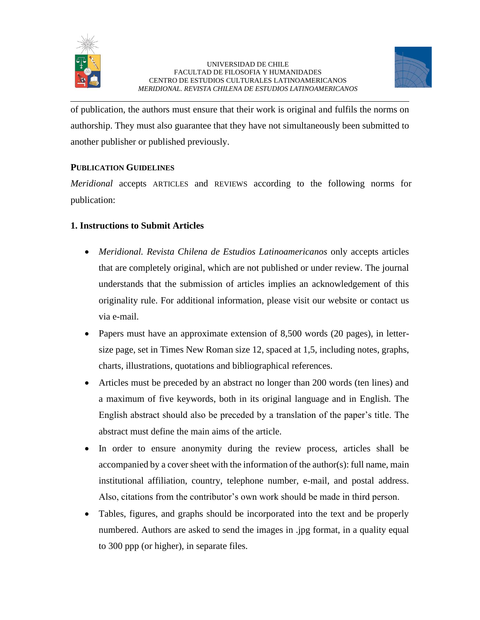



of publication, the authors must ensure that their work is original and fulfils the norms on authorship. They must also guarantee that they have not simultaneously been submitted to another publisher or published previously.

# **PUBLICATION GUIDELINES**

*Meridional* accepts ARTICLES and REVIEWS according to the following norms for publication:

# **1. Instructions to Submit Articles**

- *Meridional. Revista Chilena de Estudios Latinoamericanos* only accepts articles that are completely original, which are not published or under review. The journal understands that the submission of articles implies an acknowledgement of this originality rule. For additional information, please visit our website or contact us via e-mail.
- Papers must have an approximate extension of 8,500 words (20 pages), in lettersize page, set in Times New Roman size 12, spaced at 1,5, including notes, graphs, charts, illustrations, quotations and bibliographical references.
- Articles must be preceded by an abstract no longer than 200 words (ten lines) and a maximum of five keywords, both in its original language and in English. The English abstract should also be preceded by a translation of the paper's title. The abstract must define the main aims of the article.
- In order to ensure anonymity during the review process, articles shall be accompanied by a cover sheet with the information of the author(s): full name, main institutional affiliation, country, telephone number, e-mail, and postal address. Also, citations from the contributor's own work should be made in third person.
- Tables, figures, and graphs should be incorporated into the text and be properly numbered. Authors are asked to send the images in .jpg format, in a quality equal to 300 ppp (or higher), in separate files.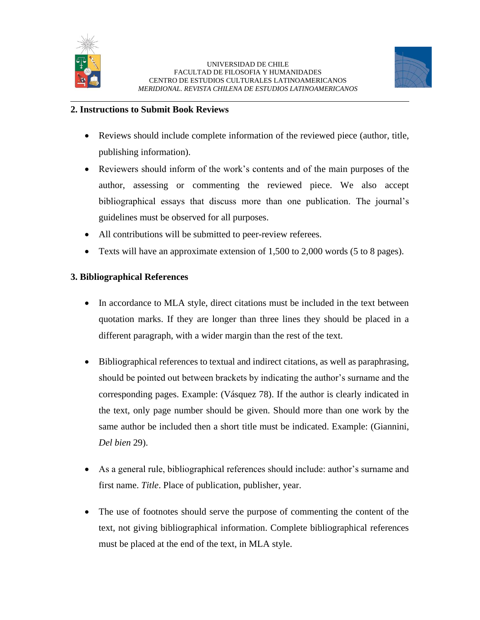



### **2. Instructions to Submit Book Reviews**

- Reviews should include complete information of the reviewed piece (author, title, publishing information).
- Reviewers should inform of the work's contents and of the main purposes of the author, assessing or commenting the reviewed piece. We also accept bibliographical essays that discuss more than one publication. The journal's guidelines must be observed for all purposes.
- All contributions will be submitted to peer-review referees.
- Texts will have an approximate extension of 1,500 to 2,000 words (5 to 8 pages).

## **3. Bibliographical References**

- In accordance to MLA style, direct citations must be included in the text between quotation marks. If they are longer than three lines they should be placed in a different paragraph, with a wider margin than the rest of the text.
- Bibliographical references to textual and indirect citations, as well as paraphrasing, should be pointed out between brackets by indicating the author's surname and the corresponding pages. Example: (Vásquez 78). If the author is clearly indicated in the text, only page number should be given. Should more than one work by the same author be included then a short title must be indicated. Example: (Giannini, *Del bien* 29).
- As a general rule, bibliographical references should include: author's surname and first name. *Title*. Place of publication, publisher, year.
- The use of footnotes should serve the purpose of commenting the content of the text, not giving bibliographical information. Complete bibliographical references must be placed at the end of the text, in MLA style.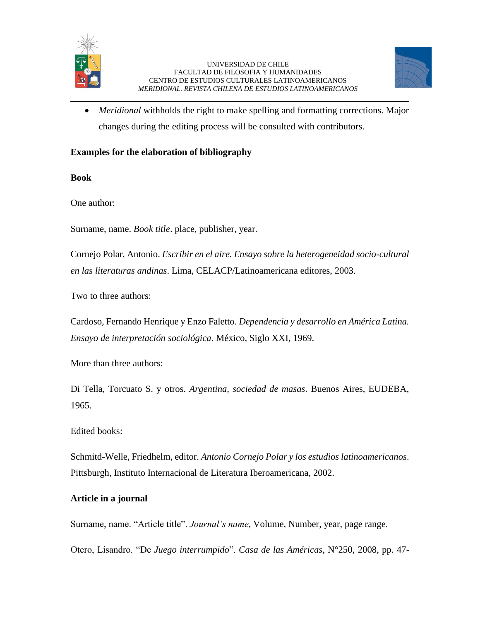



• *Meridional* withholds the right to make spelling and formatting corrections. Major changes during the editing process will be consulted with contributors.

## **Examples for the elaboration of bibliography**

**Book**

One author:

Surname, name. *Book title*. place, publisher, year.

Cornejo Polar, Antonio. *Escribir en el aire. Ensayo sobre la heterogeneidad socio-cultural en las literaturas andinas*. Lima, CELACP/Latinoamericana editores, 2003.

Two to three authors:

Cardoso, Fernando Henrique y Enzo Faletto. *Dependencia y desarrollo en América Latina. Ensayo de interpretación sociológica*. México, Siglo XXI, 1969.

More than three authors:

Di Tella, Torcuato S. y otros. *Argentina, sociedad de masas*. Buenos Aires, EUDEBA, 1965.

Edited books:

Schmitd-Welle, Friedhelm, editor. *Antonio Cornejo Polar y los estudios latinoamericanos*. Pittsburgh, Instituto Internacional de Literatura Iberoamericana, 2002.

#### **Article in a journal**

Surname, name. "Article title". *Journal's name*, Volume, Number, year, page range.

Otero, Lisandro. "De *Juego interrumpido*". *Casa de las Américas*, N°250, 2008, pp. 47-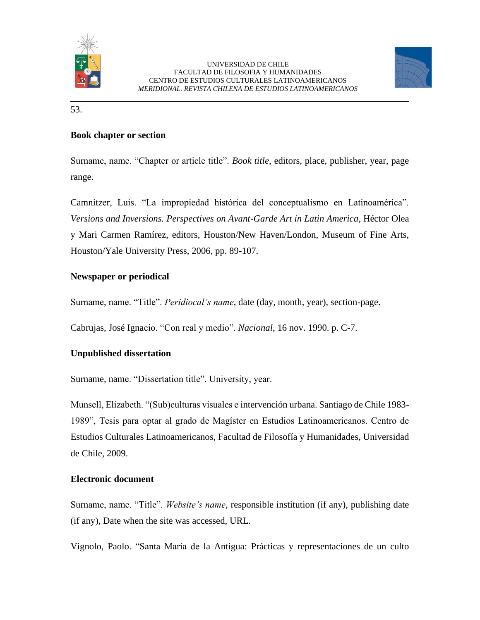



53.

### **Book chapter or section**

Surname, name. "Chapter or article title". *Book title*, editors, place, publisher, year, page range.

Camnitzer, Luis. "La impropiedad histórica del conceptualismo en Latinoamérica". *Versions and Inversions. Perspectives on Avant-Garde Art in Latin America*, Héctor Olea y Mari Carmen Ramírez, editors, Houston/New Haven/London, Museum of Fine Arts, Houston/Yale University Press, 2006, pp. 89-107.

### **Newspaper or periodical**

Surname, name. "Title". *Peridiocal's name*, date (day, month, year), section-page.

Cabrujas, José Ignacio. "Con real y medio". *Nacional*, 16 nov. 1990. p. C-7.

## **Unpublished dissertation**

Surname, name. "Dissertation title". University, year.

Munsell, Elizabeth. "(Sub)culturas visuales e intervención urbana. Santiago de Chile 1983- 1989", Tesis para optar al grado de Magíster en Estudios Latinoamericanos. Centro de Estudios Culturales Latinoamericanos, Facultad de Filosofía y Humanidades, Universidad de Chile, 2009.

#### **Electronic document**

Surname, name. "Title". *Website's name*, responsible institution (if any), publishing date (if any), Date when the site was accessed, URL.

Vignolo, Paolo. "Santa María de la Antigua: Prácticas y representaciones de un culto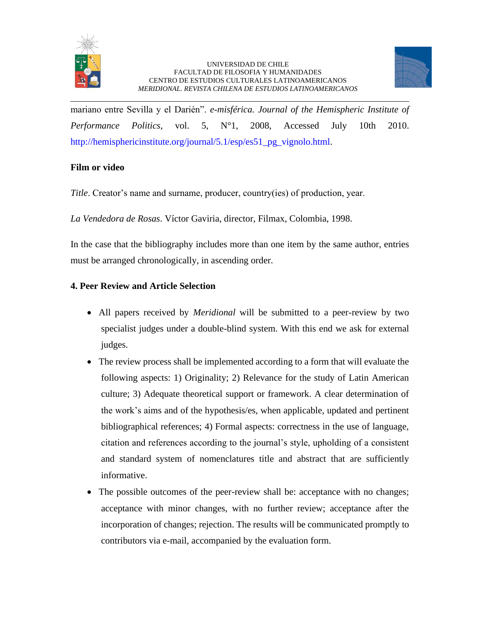



mariano entre Sevilla y el Darién". *e-misférica. Journal of the Hemispheric Institute of Performance Politics*, vol. 5, N°1, 2008, Accessed July 10th 2010. http://hemisphericinstitute.org/journal/5.1/esp/es51\_pg\_vignolo.html.

### **Film or video**

*Title*. Creator's name and surname, producer, country(ies) of production, year.

*La Vendedora de Rosas*. Víctor Gaviria, director, Filmax, Colombia, 1998.

In the case that the bibliography includes more than one item by the same author, entries must be arranged chronologically, in ascending order.

## **4. Peer Review and Article Selection**

- All papers received by *Meridional* will be submitted to a peer-review by two specialist judges under a double-blind system. With this end we ask for external judges.
- The review process shall be implemented according to a form that will evaluate the following aspects: 1) Originality; 2) Relevance for the study of Latin American culture; 3) Adequate theoretical support or framework. A clear determination of the work's aims and of the hypothesis/es, when applicable, updated and pertinent bibliographical references; 4) Formal aspects: correctness in the use of language, citation and references according to the journal's style, upholding of a consistent and standard system of nomenclatures title and abstract that are sufficiently informative.
- The possible outcomes of the peer-review shall be: acceptance with no changes; acceptance with minor changes, with no further review; acceptance after the incorporation of changes; rejection. The results will be communicated promptly to contributors via e-mail, accompanied by the evaluation form.